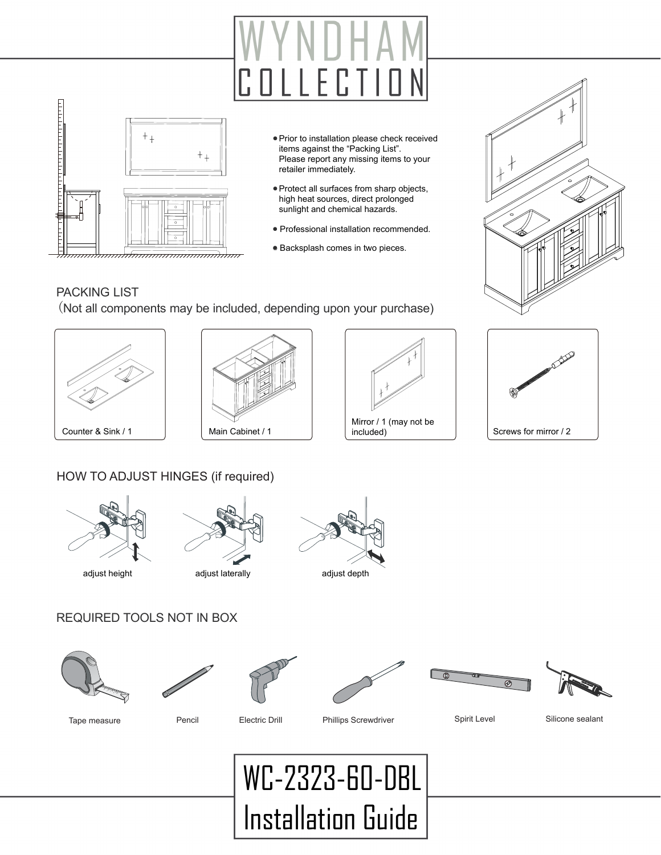

- Prior to installation please check received items against the "Packing List". Please report any missing items to your retailer immediately.
- Protect all surfaces from sharp objects, high heat sources, direct prolonged sunlight and chemical hazards.
- Professional installation recommended.
- Backsplash comes in two pieces.



#### PACKING LIST

(Not all components may be included, depending upon your purchase)









#### HOW TO ADJUST HINGES (if required)







## REQUIRED TOOLS NOT IN BOX













Tape measure **Pencil** Pencil Electric Drill Phillips Screwdriver Spirit Level Silicone sealant

## WC-2323-60-DBL Installation Guide

Main Cabinet / 1